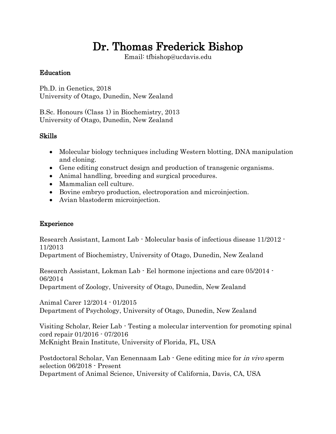# Dr. Thomas Frederick Bishop

Email: tfbishop@ucdavis.edu

# Education

Ph.D. in Genetics, 2018 University of Otago, Dunedin, New Zealand

B.Sc. Honours (Class 1) in Biochemistry, 2013 University of Otago, Dunedin, New Zealand

# Skills

- Molecular biology techniques including Western blotting, DNA manipulation and cloning.
- Gene editing construct design and production of transgenic organisms.
- Animal handling, breeding and surgical procedures.
- Mammalian cell culture.
- Bovine embryo production, electroporation and microinjection.
- Avian blastoderm microinjection.

## Experience

Research Assistant, Lamont Lab - Molecular basis of infectious disease 11/2012 - 11/2013

Department of Biochemistry, University of Otago, Dunedin, New Zealand

Research Assistant, Lokman Lab - Eel hormone injections and care 05/2014 - 06/2014

Department of Zoology, University of Otago, Dunedin, New Zealand

Animal Carer 12/2014 - 01/2015 Department of Psychology, University of Otago, Dunedin, New Zealand

Visiting Scholar, Reier Lab - Testing a molecular intervention for promoting spinal cord repair 01/2016 - 07/2016 McKnight Brain Institute, University of Florida, FL, USA

Postdoctoral Scholar, Van Eenennaam Lab - Gene editing mice for in vivo sperm selection 06/2018 - Present Department of Animal Science, University of California, Davis, CA, USA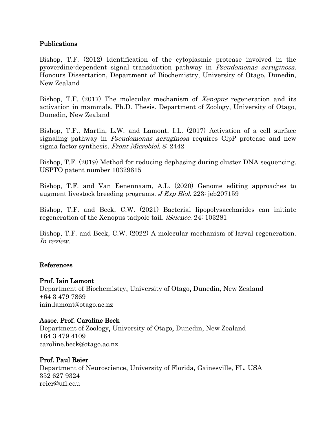### Publications

Bishop, T.F. (2012) Identification of the cytoplasmic protease involved in the pyoverdine-dependent signal transduction pathway in Pseudomonas aeruginosa. Honours Dissertation, Department of Biochemistry, University of Otago, Dunedin, New Zealand

Bishop, T.F. (2017) The molecular mechanism of *Xenopus* regeneration and its activation in mammals. Ph.D. Thesis. Department of Zoology, University of Otago, Dunedin, New Zealand

Bishop, T.F., Martin, L.W. and Lamont, I.L. (2017) Activation of a cell surface signaling pathway in *Pseudomonas aeruginosa* requires ClpP protease and new sigma factor synthesis. Front Microbiol. 8: 2442

Bishop, T.F. (2019) Method for reducing dephasing during cluster DNA sequencing. USPTO patent number 10329615

Bishop, T.F. and Van Eenennaam, A.L. (2020) Genome editing approaches to augment livestock breeding programs. J Exp Biol. 223: jeb207159

Bishop, T.F. and Beck, C.W. (2021) Bacterial lipopolysaccharides can initiate regeneration of the Xenopus tadpole tail. *iScience*. 24: 103281

Bishop, T.F. and Beck, C.W. (2022) A molecular mechanism of larval regeneration. In review.

#### References

## Prof. Iain Lamont

Department of Biochemistry, University of Otago, Dunedin, New Zealand +64 3 479 7869 [iain.lamont@otago.ac.nz](mailto:iain.lamont@otago.ac.nz)

## Assoc. Prof. Caroline Beck

Department of Zoology, University of Otago, Dunedin, New Zealand +64 3 479 4109 caroline.beck@otago.ac.nz

## Prof. Paul Reier

Department of Neuroscience, University of Florida, Gainesville, FL, USA 352 627 9324 reier@ufl.edu